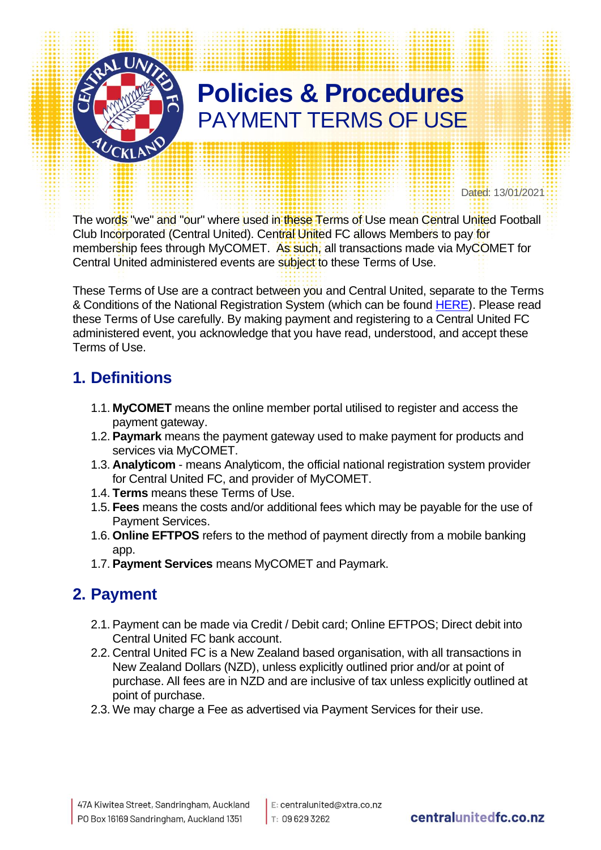

Dated: 13/01/2021

The words "we" and "our" where used in these Terms of Use mean Central United Football Club Incorporated (Central United). Central United FC allows Members to pay for membership fees through MyCOMET. As such, all transactions made via MyCOMET for Central United administered events are subject to these Terms of Use.

These Terms of Use are a contract between you and Central United, separate to the Terms & Conditions of the National Registration System (which can be found [HERE\)](http://www.centralunitedfc.co.nz/wp-content/uploads/2020/04/CUFC-Terms-and-conditions-20200424.pdf). Please read these Terms of Use carefully. By making payment and registering to a Central United FC administered event, you acknowledge that you have read, understood, and accept these Terms of Use.

#### **1. Definitions**

- 1.1. **MyCOMET** means the online member portal utilised to register and access the payment gateway.
- 1.2. **Paymark** means the payment gateway used to make payment for products and services via MyCOMET.
- 1.3. **Analyticom** means Analyticom, the official national registration system provider for Central United FC, and provider of MyCOMET.
- 1.4. **Terms** means these Terms of Use.
- 1.5. **Fees** means the costs and/or additional fees which may be payable for the use of Payment Services.
- 1.6. **Online EFTPOS** refers to the method of payment directly from a mobile banking app.
- 1.7. **Payment Services** means MyCOMET and Paymark.

#### **2. Payment**

- 2.1. Payment can be made via Credit / Debit card; Online EFTPOS; Direct debit into Central United FC bank account.
- 2.2. Central United FC is a New Zealand based organisation, with all transactions in New Zealand Dollars (NZD), unless explicitly outlined prior and/or at point of purchase. All fees are in NZD and are inclusive of tax unless explicitly outlined at point of purchase.
- 2.3. We may charge a Fee as advertised via Payment Services for their use.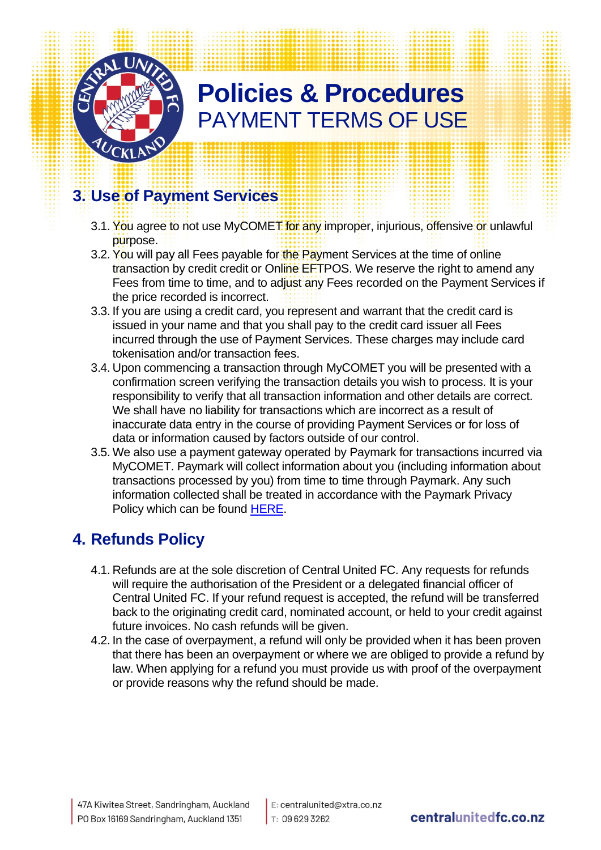

#### **3. Use of Payment Services**

- 3.1. You agree to not use MyCOMET for any improper, injurious, offensive or unlawful purpose.
- 3.2. You will pay all Fees payable for the Payment Services at the time of online transaction by credit credit or Online EFTPOS. We reserve the right to amend any Fees from time to time, and to adjust any Fees recorded on the Payment Services if the price recorded is incorrect.
- 3.3. If you are using a credit card, you represent and warrant that the credit card is issued in your name and that you shall pay to the credit card issuer all Fees incurred through the use of Payment Services. These charges may include card tokenisation and/or transaction fees.
- 3.4. Upon commencing a transaction through MyCOMET you will be presented with a confirmation screen verifying the transaction details you wish to process. It is your responsibility to verify that all transaction information and other details are correct. We shall have no liability for transactions which are incorrect as a result of inaccurate data entry in the course of providing Payment Services or for loss of data or information caused by factors outside of our control.
- 3.5. We also use a payment gateway operated by Paymark for transactions incurred via MyCOMET. Paymark will collect information about you (including information about transactions processed by you) from time to time through Paymark. Any such information collected shall be treated in accordance with the Paymark Privacy Policy which can be found [HERE.](https://www.paymark.co.nz/privacy-policy/)

#### **4. Refunds Policy**

- 4.1. Refunds are at the sole discretion of Central United FC. Any requests for refunds will require the authorisation of the President or a delegated financial officer of Central United FC. If your refund request is accepted, the refund will be transferred back to the originating credit card, nominated account, or held to your credit against future invoices. No cash refunds will be given.
- 4.2. In the case of overpayment, a refund will only be provided when it has been proven that there has been an overpayment or where we are obliged to provide a refund by law. When applying for a refund you must provide us with proof of the overpayment or provide reasons why the refund should be made.